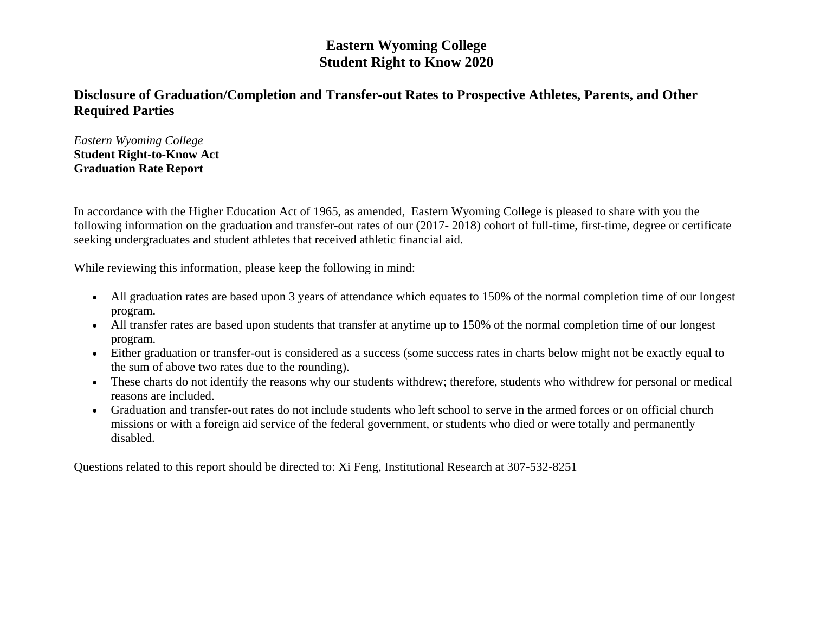## **Eastern Wyoming College Student Right to Know 2020**

## **Disclosure of Graduation/Completion and Transfer-out Rates to Prospective Athletes, Parents, and Other Required Parties**

*Eastern Wyoming College* **Student Right-to-Know Act Graduation Rate Report**

In accordance with the Higher Education Act of 1965, as amended, Eastern Wyoming College is pleased to share with you the following information on the graduation and transfer-out rates of our (2017- 2018) cohort of full-time, first-time, degree or certificate seeking undergraduates and student athletes that received athletic financial aid.

While reviewing this information, please keep the following in mind:

- All graduation rates are based upon 3 years of attendance which equates to 150% of the normal completion time of our longest program.
- All transfer rates are based upon students that transfer at anytime up to 150% of the normal completion time of our longest program.
- Either graduation or transfer-out is considered as a success (some success rates in charts below might not be exactly equal to the sum of above two rates due to the rounding).
- These charts do not identify the reasons why our students withdrew; therefore, students who withdrew for personal or medical reasons are included.
- Graduation and transfer-out rates do not include students who left school to serve in the armed forces or on official church missions or with a foreign aid service of the federal government, or students who died or were totally and permanently disabled.

Questions related to this report should be directed to: Xi Feng, Institutional Research at 307-532-8251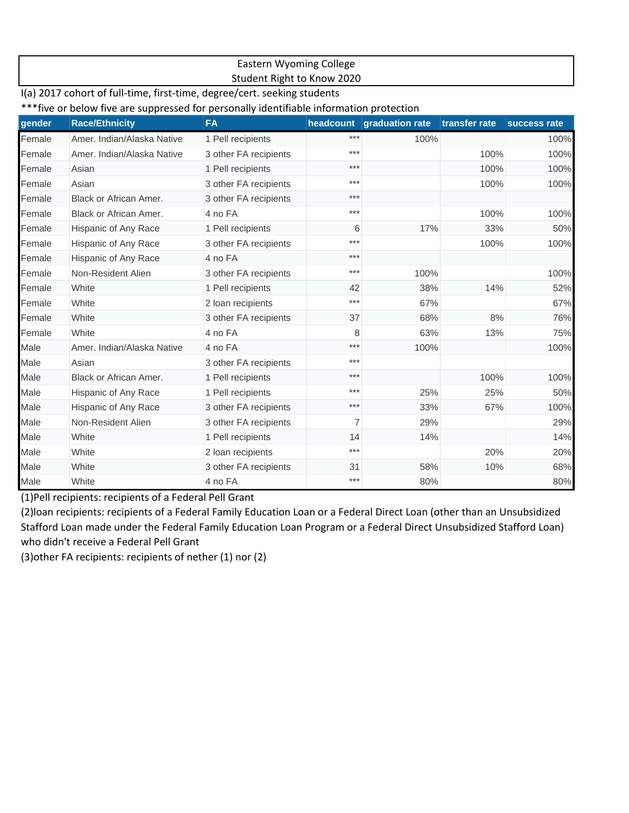#### Eastern Wyoming College Student Right to Know 2020

#### I(a) 2017 cohort of full-time, first-time, degree/cert. seeking students

\*\*\*five or below five are suppressed for personally identifiable information protection

| gender | <b>Race/Ethnicity</b>      | <b>FA</b>             |       | headcount graduation rate | transfer rate | success rate |
|--------|----------------------------|-----------------------|-------|---------------------------|---------------|--------------|
| Female | Amer, Indian/Alaska Native | 1 Pell recipients     | ***   | 100%                      |               | 100%         |
| Female | Amer, Indian/Alaska Native | 3 other FA recipients | ***   |                           | 100%          | 100%         |
| Female | Asian                      | 1 Pell recipients     | ***   |                           | 100%          | 100%         |
| Female | Asian                      | 3 other FA recipients | ***   |                           | 100%          | 100%         |
| Female | Black or African Amer.     | 3 other FA recipients | $***$ |                           |               |              |
| Female | Black or African Amer.     | 4 no FA               | ***   |                           | 100%          | 100%         |
| Female | Hispanic of Any Race       | 1 Pell recipients     | 6     | 17%                       | 33%           | 50%          |
| Female | Hispanic of Any Race       | 3 other FA recipients | ***   |                           | 100%          | 100%         |
| Female | Hispanic of Any Race       | 4 no FA               | ***   |                           |               |              |
| Female | Non-Resident Alien         | 3 other FA recipients | $***$ | 100%                      |               | 100%         |
| Female | White                      | 1 Pell recipients     | 42    | 38%                       | 14%           | 52%          |
| Female | White                      | 2 loan recipients     | ***   | 67%                       |               | 67%          |
| Female | White                      | 3 other FA recipients | 37    | 68%                       | 8%            | 76%          |
| Female | White                      | 4 no FA               | 8     | 63%                       | 13%           | 75%          |
| Male   | Amer, Indian/Alaska Native | 4 no FA               | $***$ | 100%                      |               | 100%         |
| Male   | Asian                      | 3 other FA recipients | $***$ |                           |               |              |
| Male   | Black or African Amer.     | 1 Pell recipients     | $***$ |                           | 100%          | 100%         |
| Male   | Hispanic of Any Race       | 1 Pell recipients     | $***$ | 25%                       | 25%           | 50%          |
| Male   | Hispanic of Any Race       | 3 other FA recipients | $***$ | 33%                       | 67%           | 100%         |
| Male   | Non-Resident Alien         | 3 other FA recipients | 7     | 29%                       |               | 29%          |
| Male   | White                      | 1 Pell recipients     | 14    | 14%                       |               | 14%          |
| Male   | White                      | 2 loan recipients     | $***$ |                           | 20%           | 20%          |
| Male   | White                      | 3 other FA recipients | 31    | 58%                       | 10%           | 68%          |
| Male   | White                      | 4 no FA               | ***   | 80%                       |               | 80%          |

(1)Pell recipients: recipients of a Federal Pell Grant

(2)loan recipients: recipients of a Federal Family Education Loan or a Federal Direct Loan (other than an Unsubsidized Stafford Loan made under the Federal Family Education Loan Program or a Federal Direct Unsubsidized Stafford Loan) who didn't receive a Federal Pell Grant

(3)other FA recipients: recipients of nether (1) nor (2)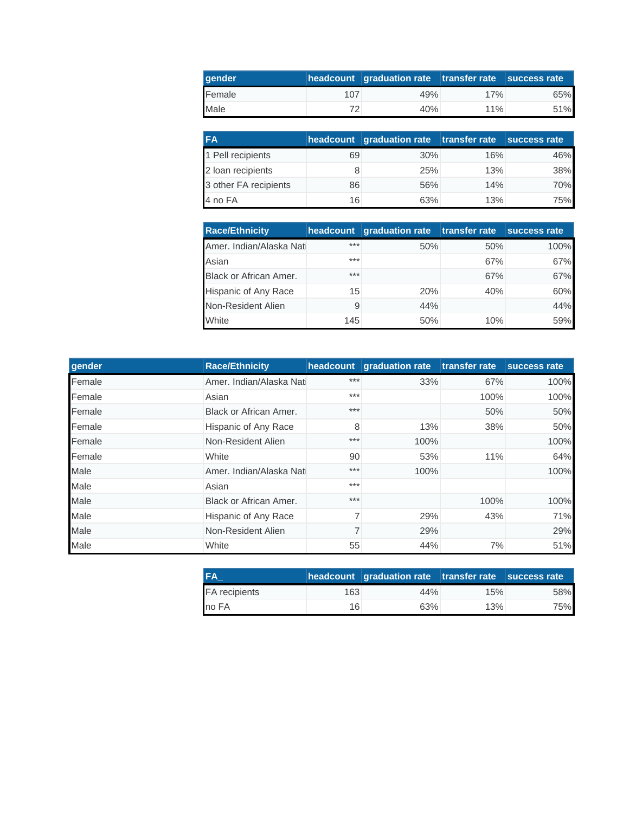| <b>aender</b> |     | headcount graduation rate transfer rate success rate |     |     |
|---------------|-----|------------------------------------------------------|-----|-----|
| Female        | 107 | 49%                                                  | 17% | 65% |
| Male          | フつ  | 40%                                                  | 11% | 51% |

| <b>FA</b>             |    | headcount graduation rate transfer rate success rate |     |     |
|-----------------------|----|------------------------------------------------------|-----|-----|
| 1 Pell recipients     | 69 | 30%                                                  | 16% | 46% |
| 2 loan recipients     |    | 25%                                                  | 13% | 38% |
| 3 other FA recipients | 86 | 56%                                                  | 14% | 70% |
| 4 no FA               | 16 | 63%                                                  | 13% | 75% |

| <b>Race/Ethnicity</b>         | headcount | <b>graduation rate</b> | transfer rate | success rate |
|-------------------------------|-----------|------------------------|---------------|--------------|
| Amer. Indian/Alaska Nati      | ***       | 50%                    | 50%           | 100%         |
| Asian                         | ***       |                        | 67%           | 67%          |
| <b>Black or African Amer.</b> | ***       |                        | 67%           | 67%          |
| Hispanic of Any Race          | 15        | 20%                    | 40%           | 60%          |
| Non-Resident Alien            | 9         | 44%                    |               | 44%          |
| White                         | 145       | 50%                    | 10%           | 59%          |

| gender | <b>Race/Ethnicity</b>    |       | headcount graduation rate | transfer rate | success rate |
|--------|--------------------------|-------|---------------------------|---------------|--------------|
| Female | Amer. Indian/Alaska Nati | $***$ | 33%                       | 67%           | 100%         |
| Female | Asian                    | $***$ |                           | 100%          | 100%         |
| Female | Black or African Amer.   | $***$ |                           | 50%           | 50%          |
| Female | Hispanic of Any Race     | 8     | 13%                       | 38%           | 50%          |
| Female | Non-Resident Alien       | ***   | 100%                      |               | 100%         |
| Female | White                    | 90    | 53%                       | 11%           | 64%          |
| Male   | Amer. Indian/Alaska Nati | ***   | 100%                      |               | 100%         |
| Male   | Asian                    | $***$ |                           |               |              |
| Male   | Black or African Amer.   | $***$ |                           | 100%          | 100%         |
| Male   | Hispanic of Any Race     |       | 29%                       | 43%           | 71%          |
| Male   | Non-Resident Alien       |       | 29%                       |               | 29%          |
| Male   | White                    | 55    | 44%                       | 7%            | 51%          |

| <b>IFA</b>    |     | headcount graduation rate transfer rate success rate |     |     |
|---------------|-----|------------------------------------------------------|-----|-----|
| FA recipients | 163 | 44%                                                  | 15% | 58% |
| no FA         | 16  | 63%                                                  | 13% | 75% |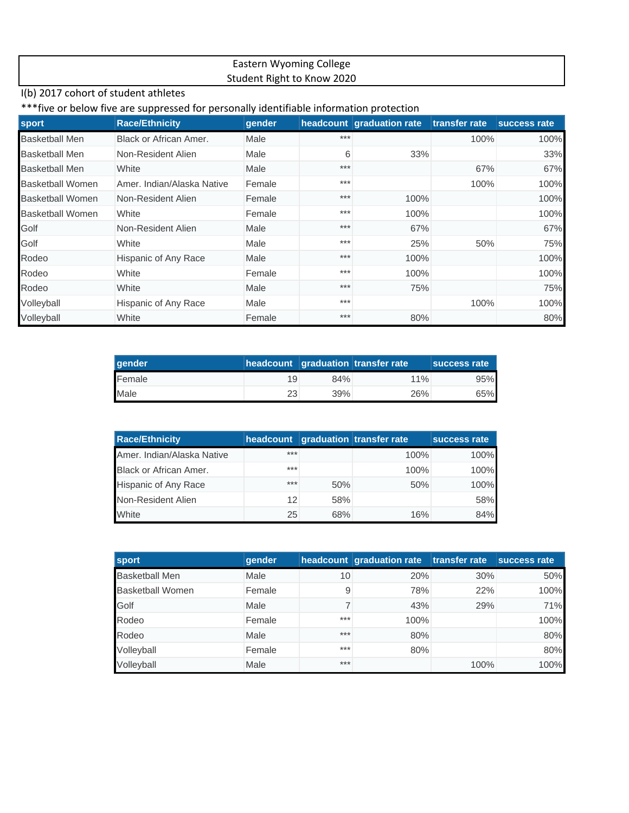### Eastern Wyoming College Student Right to Know 2020

### I(b) 2017 cohort of student athletes

#### \*\*\*five or below five are suppressed for personally identifiable information protection

| sport                   | <b>Race/Ethnicity</b>      | gender |       | headcount graduation rate | transfer rate | success rate |
|-------------------------|----------------------------|--------|-------|---------------------------|---------------|--------------|
| <b>Basketball Men</b>   | Black or African Amer.     | Male   | ***   |                           | 100%          | 100%         |
| <b>Basketball Men</b>   | Non-Resident Alien         | Male   | 6     | 33%                       |               | 33%          |
| <b>Basketball Men</b>   | White                      | Male   | $***$ |                           | 67%           | 67%          |
| <b>Basketball Women</b> | Amer. Indian/Alaska Native | Female | $***$ |                           | 100%          | 100%         |
| <b>Basketball Women</b> | Non-Resident Alien         | Female | $***$ | 100%                      |               | 100%         |
| <b>Basketball Women</b> | White                      | Female | $***$ | 100%                      |               | 100%         |
| Golf                    | Non-Resident Alien         | Male   | $***$ | 67%                       |               | 67%          |
| Golf                    | White                      | Male   | $***$ | 25%                       | 50%           | 75%          |
| Rodeo                   | Hispanic of Any Race       | Male   | $***$ | 100%                      |               | 100%         |
| Rodeo                   | White                      | Female | $***$ | 100%                      |               | 100%         |
| Rodeo                   | White                      | Male   | $***$ | 75%                       |               | 75%          |
| Volleyball              | Hispanic of Any Race       | Male   | $***$ |                           | 100%          | 100%         |
| Volleyball              | White                      | Female | $***$ | 80%                       |               | 80%          |

| <b>gender</b> |     |     | headcount graduation transfer rate | success rate |
|---------------|-----|-----|------------------------------------|--------------|
| Female        | 19  | 84% | 11%                                | 95%          |
| Male          | 23. | 39% | 26%                                | 65%          |

| <b>Race/Ethnicity</b>      |     |     | headcount graduation transfer rate | success rate |
|----------------------------|-----|-----|------------------------------------|--------------|
| Amer. Indian/Alaska Native | *** |     | 100%                               | 100%         |
| Black or African Amer.     | *** |     | 100%                               | 100%         |
| Hispanic of Any Race       | *** | 50% | 50%                                | 100%         |
| Non-Resident Alien         | 12  | 58% |                                    | 58%          |
| White                      | 25  | 68% | 16%                                | 84%          |

| <b>sport</b>            | gender |       | headcount graduation rate transfer rate |      | success rate |
|-------------------------|--------|-------|-----------------------------------------|------|--------------|
| <b>Basketball Men</b>   | Male   | 10    | 20%                                     | 30%  | 50%          |
| <b>Basketball Women</b> | Female | 9     | 78%                                     | 22%  | 100%         |
| Golf                    | Male   |       | 43%                                     | 29%  | 71%          |
| Rodeo                   | Female | $***$ | 100%                                    |      | 100%         |
| Rodeo                   | Male   | $***$ | 80%                                     |      | 80%          |
| Volleyball              | Female | $***$ | 80%                                     |      | 80%          |
| Volleyball              | Male   | $***$ |                                         | 100% | 100%         |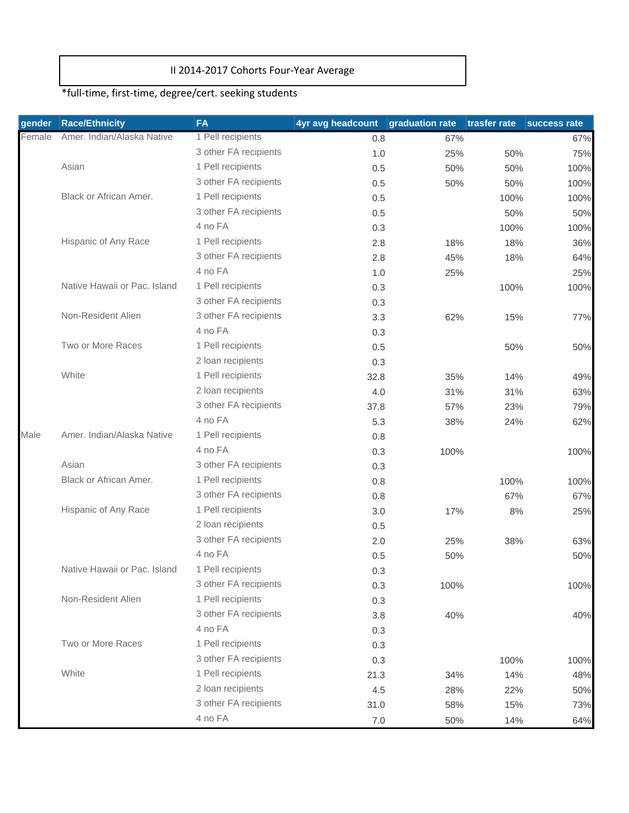## II 2014‐2017 Cohorts Four‐Year Average

# \*full‐time, first‐time, degree/cert. seeking students

| gender | <b>Race/Ethnicity</b>        | <b>FA</b>             | 4yr avg headcount | graduation rate | trasfer rate | success rate |
|--------|------------------------------|-----------------------|-------------------|-----------------|--------------|--------------|
| Female | Amer. Indian/Alaska Native   | 1 Pell recipients     | 0.8               | 67%             |              | 67%          |
|        |                              | 3 other FA recipients | 1.0               | 25%             | 50%          | 75%          |
|        | Asian                        | 1 Pell recipients     | 0.5               | 50%             | 50%          | 100%         |
|        |                              | 3 other FA recipients | 0.5               | 50%             | 50%          | 100%         |
|        | Black or African Amer.       | 1 Pell recipients     | 0.5               |                 | 100%         | 100%         |
|        |                              | 3 other FA recipients | 0.5               |                 | 50%          | 50%          |
|        |                              | 4 no FA               | 0.3               |                 | 100%         | 100%         |
|        | Hispanic of Any Race         | 1 Pell recipients     | 2.8               | 18%             | 18%          | 36%          |
|        |                              | 3 other FA recipients | 2.8               | 45%             | 18%          | 64%          |
|        |                              | 4 no FA               | 1.0               | 25%             |              | 25%          |
|        | Native Hawaii or Pac. Island | 1 Pell recipients     | 0.3               |                 | 100%         | 100%         |
|        |                              | 3 other FA recipients | 0.3               |                 |              |              |
|        | Non-Resident Alien           | 3 other FA recipients | 3.3               | 62%             | 15%          | 77%          |
|        |                              | 4 no FA               | 0.3               |                 |              |              |
|        | Two or More Races            | 1 Pell recipients     | 0.5               |                 | 50%          | 50%          |
|        |                              | 2 loan recipients     | 0.3               |                 |              |              |
|        | White                        | 1 Pell recipients     | 32.8              | 35%             | 14%          | 49%          |
|        |                              | 2 loan recipients     | 4.0               | 31%             | 31%          | 63%          |
|        |                              | 3 other FA recipients | 37.8              | 57%             | 23%          | 79%          |
|        |                              | 4 no FA               | 5.3               | 38%             | 24%          | 62%          |
| Male   | Amer, Indian/Alaska Native   | 1 Pell recipients     | 0.8               |                 |              |              |
|        |                              | 4 no FA               | 0.3               | 100%            |              | 100%         |
|        | Asian                        | 3 other FA recipients | 0.3               |                 |              |              |
|        | Black or African Amer.       | 1 Pell recipients     | 0.8               |                 | 100%         | 100%         |
|        |                              | 3 other FA recipients | 0.8               |                 | 67%          | 67%          |
|        | Hispanic of Any Race         | 1 Pell recipients     | 3.0               | 17%             | 8%           | 25%          |
|        |                              | 2 loan recipients     | 0.5               |                 |              |              |
|        |                              | 3 other FA recipients | 2.0               | 25%             | 38%          | 63%          |
|        |                              | 4 no FA               | 0.5               | 50%             |              | 50%          |
|        | Native Hawaii or Pac. Island | 1 Pell recipients     | 0.3               |                 |              |              |
|        |                              | 3 other FA recipients | 0.3               | 100%            |              | 100%         |
|        | Non-Resident Alien           | 1 Pell recipients     | 0.3               |                 |              |              |
|        |                              | 3 other FA recipients | 3.8               | 40%             |              | 40%          |
|        |                              | 4 no FA               | 0.3               |                 |              |              |
|        | Two or More Races            | 1 Pell recipients     | 0.3               |                 |              |              |
|        |                              | 3 other FA recipients | 0.3               |                 | 100%         | 100%         |
|        | White                        | 1 Pell recipients     | 21.3              | 34%             | 14%          | 48%          |
|        |                              | 2 loan recipients     | 4.5               | 28%             | 22%          | 50%          |
|        |                              | 3 other FA recipients | 31.0              | 58%             | 15%          | 73%          |
|        |                              | 4 no FA               | $7.0\,$           | 50%             | 14%          | 64%          |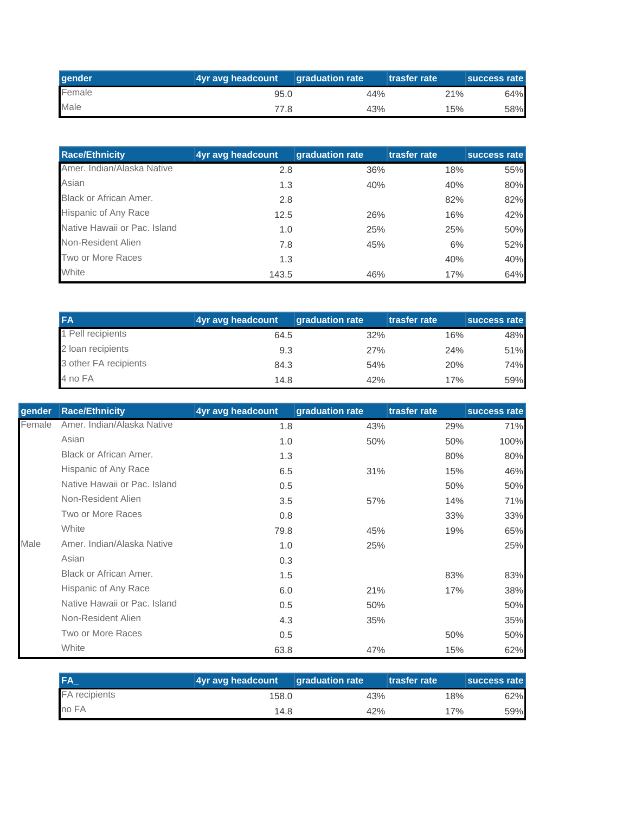| ∥gender | 4yr avg headcount | <b>diagonal diagonal parameter of the diagonal district</b> | <b>Itrasfer rate</b> | <b>Success rate</b> |
|---------|-------------------|-------------------------------------------------------------|----------------------|---------------------|
| Female  | 95.0              | 44%                                                         | 21%                  | 64%                 |
| Male    | 77.8              | 43%                                                         | 15%                  | 58%                 |

| <b>Race/Ethnicity</b>        | 4yr avg headcount | graduation rate | trasfer rate | success rate |
|------------------------------|-------------------|-----------------|--------------|--------------|
| Amer. Indian/Alaska Native   | 2.8               | 36%             | 18%          | 55%          |
| Asian                        | 1.3               | 40%             | 40%          | 80%          |
| Black or African Amer.       | 2.8               |                 | 82%          | 82%          |
| Hispanic of Any Race         | 12.5              | 26%             | 16%          | 42%          |
| Native Hawaii or Pac. Island | 1.0               | 25%             | 25%          | 50%          |
| Non-Resident Alien           | 7.8               | 45%             | 6%           | 52%          |
| Two or More Races            | 1.3               |                 | 40%          | 40%          |
| White                        | 143.5             | 46%             | 17%          | 64%          |

| <b>FA</b>             | 4yr avg headcount | <b>graduation rate</b> | trasfer rate | success rate |
|-----------------------|-------------------|------------------------|--------------|--------------|
| Pell recipients       | 64.5              | 32%                    | 16%          | 48%          |
| 2 loan recipients     | 9.3               | 27%                    | 24%          | 51%          |
| 3 other FA recipients | 84.3              | 54%                    | 20%          | 74%          |
| 4 no FA               | 14.8              | 42%                    | 17%          | 59%          |

| qender | <b>Race/Ethnicity</b>        | 4yr avg headcount | graduation rate | trasfer rate | success rate |
|--------|------------------------------|-------------------|-----------------|--------------|--------------|
| Female | Amer, Indian/Alaska Native   | 1.8               | 43%             | 29%          | 71%          |
|        | Asian                        | 1.0               | 50%             | 50%          | 100%         |
|        | Black or African Amer.       | 1.3               |                 | 80%          | 80%          |
|        | Hispanic of Any Race         | 6.5               | 31%             | 15%          | 46%          |
|        | Native Hawaii or Pac. Island | 0.5               |                 | 50%          | 50%          |
|        | Non-Resident Alien           | 3.5               | 57%             | 14%          | 71%          |
|        | Two or More Races            | 0.8               |                 | 33%          | 33%          |
|        | White                        | 79.8              | 45%             | 19%          | 65%          |
| Male   | Amer, Indian/Alaska Native   | 1.0               | 25%             |              | 25%          |
|        | Asian                        | 0.3               |                 |              |              |
|        | Black or African Amer.       | 1.5               |                 | 83%          | 83%          |
|        | Hispanic of Any Race         | 6.0               | 21%             | 17%          | 38%          |
|        | Native Hawaii or Pac. Island | 0.5               | 50%             |              | 50%          |
|        | Non-Resident Alien           | 4.3               | 35%             |              | 35%          |
|        | Two or More Races            | 0.5               |                 | 50%          | 50%          |
|        | White                        | 63.8              | 47%             | 15%          | 62%          |

| <b>IFA</b>    | 4yr avg headcount | <b>graduation rate</b> | trasfer rate | <b>Success rate</b> |
|---------------|-------------------|------------------------|--------------|---------------------|
| FA recipients | 158.0             | 43%                    | 18%          | 62%                 |
| no FA         | 14.8              | 42%                    | 17%          | 59%                 |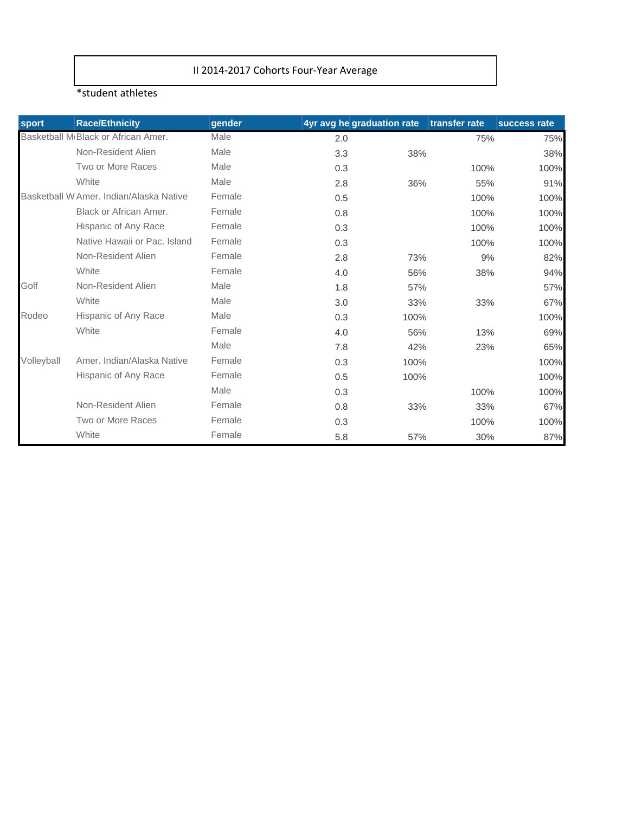## II 2014‐2017 Cohorts Four‐Year Average

#### \*student athletes

| sport      | <b>Race/Ethnicity</b>                            | gender |     | 4yr avg he graduation rate | transfer rate | success rate |
|------------|--------------------------------------------------|--------|-----|----------------------------|---------------|--------------|
|            | Basketball M <sub>'</sub> Black or African Amer. | Male   | 2.0 |                            | 75%           | 75%          |
|            | Non-Resident Alien                               | Male   | 3.3 | 38%                        |               | 38%          |
|            | Two or More Races                                | Male   | 0.3 |                            | 100%          | 100%         |
|            | White                                            | Male   | 2.8 | 36%                        | 55%           | 91%          |
|            | Basketball W Amer, Indian/Alaska Native          | Female | 0.5 |                            | 100%          | 100%         |
|            | Black or African Amer.                           | Female | 0.8 |                            | 100%          | 100%         |
|            | Hispanic of Any Race                             | Female | 0.3 |                            | 100%          | 100%         |
|            | Native Hawaii or Pac. Island                     | Female | 0.3 |                            | 100%          | 100%         |
|            | Non-Resident Alien                               | Female | 2.8 | 73%                        | 9%            | 82%          |
|            | White                                            | Female | 4.0 | 56%                        | 38%           | 94%          |
| Golf       | Non-Resident Alien                               | Male   | 1.8 | 57%                        |               | 57%          |
|            | White                                            | Male   | 3.0 | 33%                        | 33%           | 67%          |
| Rodeo      | Hispanic of Any Race                             | Male   | 0.3 | 100%                       |               | 100%         |
|            | White                                            | Female | 4.0 | 56%                        | 13%           | 69%          |
|            |                                                  | Male   | 7.8 | 42%                        | 23%           | 65%          |
| Volleyball | Amer, Indian/Alaska Native                       | Female | 0.3 | 100%                       |               | 100%         |
|            | Hispanic of Any Race                             | Female | 0.5 | 100%                       |               | 100%         |
|            |                                                  | Male   | 0.3 |                            | 100%          | 100%         |
|            | Non-Resident Alien                               | Female | 0.8 | 33%                        | 33%           | 67%          |
|            | Two or More Races                                | Female | 0.3 |                            | 100%          | 100%         |
|            | White                                            | Female | 5.8 | 57%                        | 30%           | 87%          |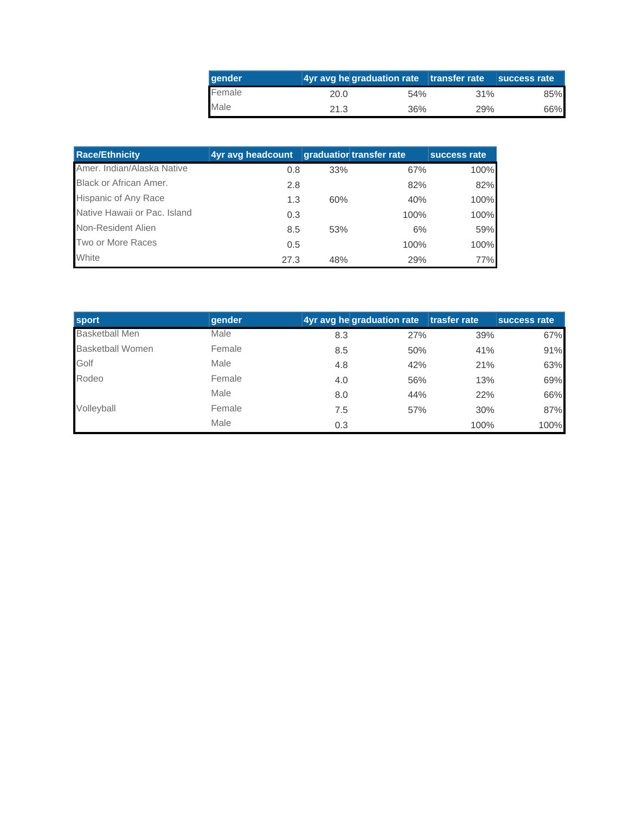| ∥gender |      | 4yr avg he graduation rate transfer rate |                 | success rate |
|---------|------|------------------------------------------|-----------------|--------------|
| Female  | 20.0 | 54%                                      | 31 <sup>%</sup> | 85%          |
| Male    | 21.3 | 36%                                      | 29%             | 66%          |

| <b>Race/Ethnicity</b>         | 4yr avg headcount | <b>graduatior transfer rate</b> |      | success rate |
|-------------------------------|-------------------|---------------------------------|------|--------------|
| Amer. Indian/Alaska Native    | 0.8               | 33%                             | 67%  | 100%         |
| <b>Black or African Amer.</b> | 2.8               |                                 | 82%  | 82%          |
| Hispanic of Any Race          | 1.3               | 60%                             | 40%  | 100%         |
| Native Hawaii or Pac. Island  | 0.3               |                                 | 100% | 100%         |
| Non-Resident Alien            | 8.5               | 53%                             | 6%   | 59%          |
| Two or More Races             | 0.5               |                                 | 100% | 100%         |
| White                         | 27.3              | 48%                             | 29%  | 77%          |

| <b>sport</b>            | gender |     | 4yr avg he graduation rate | trasfer rate | success rate |
|-------------------------|--------|-----|----------------------------|--------------|--------------|
| <b>Basketball Men</b>   | Male   | 8.3 | 27%                        | 39%          | 67%          |
| <b>Basketball Women</b> | Female | 8.5 | 50%                        | 41%          | 91%          |
| Golf                    | Male   | 4.8 | 42%                        | 21%          | 63%          |
| Rodeo                   | Female | 4.0 | 56%                        | 13%          | 69%          |
|                         | Male   | 8.0 | 44%                        | 22%          | 66%          |
| Volleyball              | Female | 7.5 | 57%                        | 30%          | 87%          |
|                         | Male   | 0.3 |                            | 100%         | 100%         |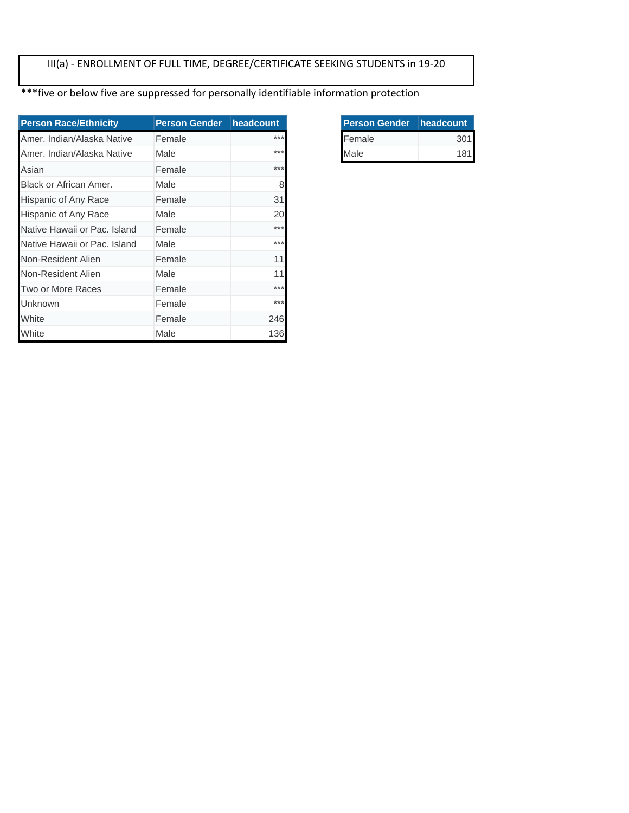## III(a) ‐ ENROLLMENT OF FULL TIME, DEGREE/CERTIFICATE SEEKING STUDENTS in 19‐20

\*\*\*five or below five are suppressed for personally identifiable information protection

| <b>Person Race/Ethnicity</b> | <b>Person Gender</b> | headcount |
|------------------------------|----------------------|-----------|
| Amer, Indian/Alaska Native   | Female               | $***$     |
| Amer, Indian/Alaska Native   | Male                 | $***$     |
| Asian                        | Female               | $***$     |
| Black or African Amer.       | Male                 | 8         |
| Hispanic of Any Race         | Female               | 31        |
| Hispanic of Any Race         | Male                 | 20        |
| Native Hawaii or Pac. Island | Female               | $***$     |
| Native Hawaii or Pac. Island | Male                 | $***$     |
| Non-Resident Alien           | Female               | 11        |
| Non-Resident Alien           | Male                 | 11        |
| Two or More Races            | Female               | $***$     |
| Unknown                      | Female               | $***$     |
| White                        | Female               | 246       |
| White                        | Male                 | 136       |

| <b>Person Gender headcount</b> |     |
|--------------------------------|-----|
| Female                         | 301 |
| Male                           | 181 |